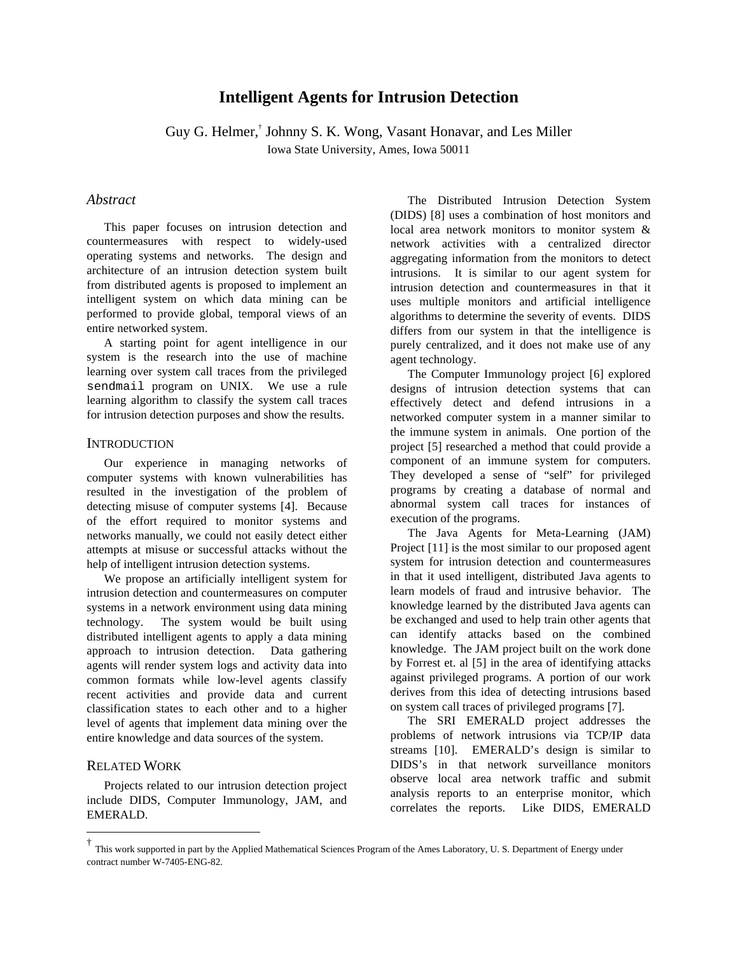# **Intelligent Agents for Intrusion Detection**

Guy G. Helmer,† Johnny S. K. Wong, Vasant Honavar, and Les Miller Iowa State University, Ames, Iowa 50011

# *Abstract*

This paper focuses on intrusion detection and countermeasures with respect to widely-used operating systems and networks. The design and architecture of an intrusion detection system built from distributed agents is proposed to implement an intelligent system on which data mining can be performed to provide global, temporal views of an entire networked system.

A starting point for agent intelligence in our system is the research into the use of machine learning over system call traces from the privileged sendmail program on UNIX. We use a rule learning algorithm to classify the system call traces for intrusion detection purposes and show the results.

#### **INTRODUCTION**

Our experience in managing networks of computer systems with known vulnerabilities has resulted in the investigation of the problem of detecting misuse of computer systems [4]. Because of the effort required to monitor systems and networks manually, we could not easily detect either attempts at misuse or successful attacks without the help of intelligent intrusion detection systems.

We propose an artificially intelligent system for intrusion detection and countermeasures on computer systems in a network environment using data mining technology. The system would be built using distributed intelligent agents to apply a data mining approach to intrusion detection. Data gathering agents will render system logs and activity data into common formats while low-level agents classify recent activities and provide data and current classification states to each other and to a higher level of agents that implement data mining over the entire knowledge and data sources of the system.

#### RELATED WORK

Projects related to our intrusion detection project include DIDS, Computer Immunology, JAM, and EMERALD.

The Distributed Intrusion Detection System (DIDS) [8] uses a combination of host monitors and local area network monitors to monitor system & network activities with a centralized director aggregating information from the monitors to detect intrusions. It is similar to our agent system for intrusion detection and countermeasures in that it uses multiple monitors and artificial intelligence algorithms to determine the severity of events. DIDS differs from our system in that the intelligence is purely centralized, and it does not make use of any agent technology.

The Computer Immunology project [6] explored designs of intrusion detection systems that can effectively detect and defend intrusions in a networked computer system in a manner similar to the immune system in animals. One portion of the project [5] researched a method that could provide a component of an immune system for computers. They developed a sense of "self" for privileged programs by creating a database of normal and abnormal system call traces for instances of execution of the programs.

The Java Agents for Meta-Learning (JAM) Project [11] is the most similar to our proposed agent system for intrusion detection and countermeasures in that it used intelligent, distributed Java agents to learn models of fraud and intrusive behavior. The knowledge learned by the distributed Java agents can be exchanged and used to help train other agents that can identify attacks based on the combined knowledge. The JAM project built on the work done by Forrest et. al [5] in the area of identifying attacks against privileged programs. A portion of our work derives from this idea of detecting intrusions based on system call traces of privileged programs [7].

The SRI EMERALD project addresses the problems of network intrusions via TCP/IP data streams [10]. EMERALD's design is similar to DIDS's in that network surveillance monitors observe local area network traffic and submit analysis reports to an enterprise monitor, which correlates the reports. Like DIDS, EMERALD

 † This work supported in part by the Applied Mathematical Sciences Program of the Ames Laboratory, U. S. Department of Energy under contract number W-7405-ENG-82.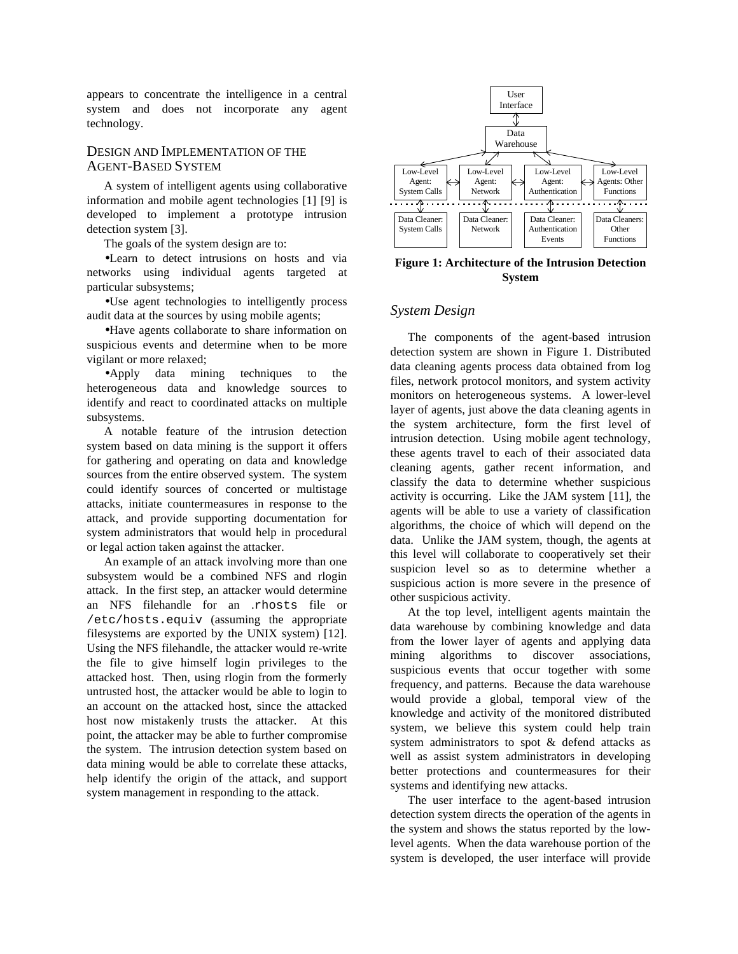appears to concentrate the intelligence in a central system and does not incorporate any agent technology.

### DESIGN AND IMPLEMENTATION OF THE AGENT-BASED SYSTEM

A system of intelligent agents using collaborative information and mobile agent technologies [1] [9] is developed to implement a prototype intrusion detection system [3].

The goals of the system design are to:

• Learn to detect intrusions on hosts and via networks using individual agents targeted at particular subsystems;

• Use agent technologies to intelligently process audit data at the sources by using mobile agents;

• Have agents collaborate to share information on suspicious events and determine when to be more vigilant or more relaxed;

• Apply data mining techniques to the heterogeneous data and knowledge sources to identify and react to coordinated attacks on multiple subsystems.

A notable feature of the intrusion detection system based on data mining is the support it offers for gathering and operating on data and knowledge sources from the entire observed system. The system could identify sources of concerted or multistage attacks, initiate countermeasures in response to the attack, and provide supporting documentation for system administrators that would help in procedural or legal action taken against the attacker.

An example of an attack involving more than one subsystem would be a combined NFS and rlogin attack. In the first step, an attacker would determine an NFS filehandle for an .rhosts file or /etc/hosts.equiv (assuming the appropriate filesystems are exported by the UNIX system) [12]. Using the NFS filehandle, the attacker would re-write the file to give himself login privileges to the attacked host. Then, using rlogin from the formerly untrusted host, the attacker would be able to login to an account on the attacked host, since the attacked host now mistakenly trusts the attacker. At this point, the attacker may be able to further compromise the system. The intrusion detection system based on data mining would be able to correlate these attacks, help identify the origin of the attack, and support system management in responding to the attack.



**Figure 1: Architecture of the Intrusion Detection System**

### *System Design*

The components of the agent-based intrusion detection system are shown in Figure 1. Distributed data cleaning agents process data obtained from log files, network protocol monitors, and system activity monitors on heterogeneous systems. A lower-level layer of agents, just above the data cleaning agents in the system architecture, form the first level of intrusion detection. Using mobile agent technology, these agents travel to each of their associated data cleaning agents, gather recent information, and classify the data to determine whether suspicious activity is occurring. Like the JAM system [11], the agents will be able to use a variety of classification algorithms, the choice of which will depend on the data. Unlike the JAM system, though, the agents at this level will collaborate to cooperatively set their suspicion level so as to determine whether a suspicious action is more severe in the presence of other suspicious activity.

At the top level, intelligent agents maintain the data warehouse by combining knowledge and data from the lower layer of agents and applying data mining algorithms to discover associations, suspicious events that occur together with some frequency, and patterns. Because the data warehouse would provide a global, temporal view of the knowledge and activity of the monitored distributed system, we believe this system could help train system administrators to spot & defend attacks as well as assist system administrators in developing better protections and countermeasures for their systems and identifying new attacks.

The user interface to the agent-based intrusion detection system directs the operation of the agents in the system and shows the status reported by the lowlevel agents. When the data warehouse portion of the system is developed, the user interface will provide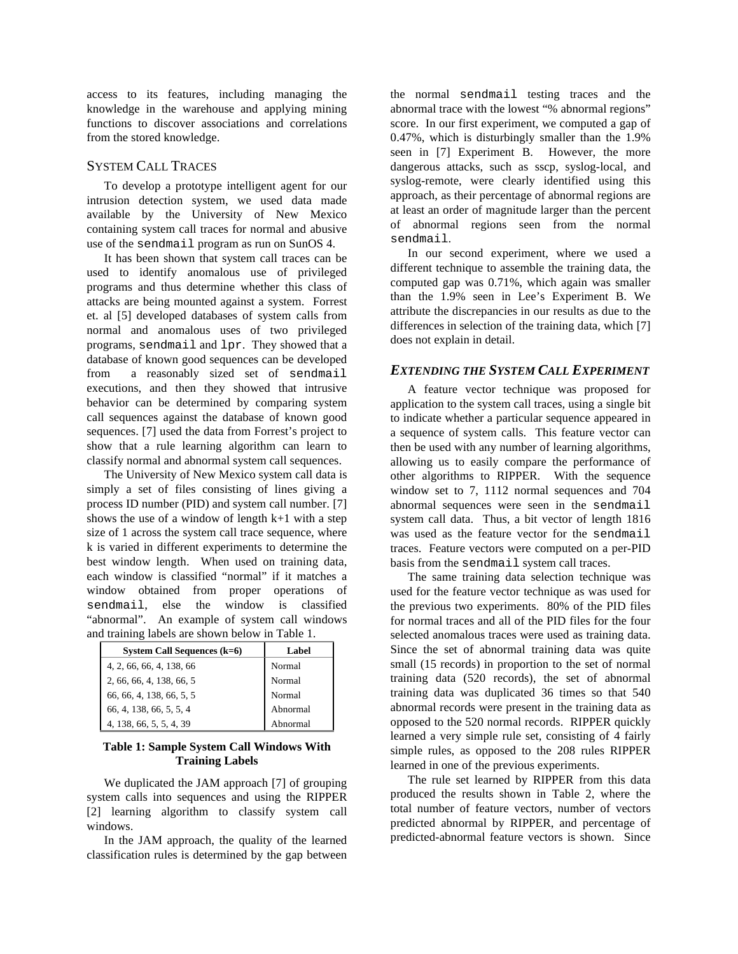access to its features, including managing the knowledge in the warehouse and applying mining functions to discover associations and correlations from the stored knowledge.

### SYSTEM CALL TRACES

To develop a prototype intelligent agent for our intrusion detection system, we used data made available by the University of New Mexico containing system call traces for normal and abusive use of the sendmail program as run on SunOS 4.

It has been shown that system call traces can be used to identify anomalous use of privileged programs and thus determine whether this class of attacks are being mounted against a system. Forrest et. al [5] developed databases of system calls from normal and anomalous uses of two privileged programs, sendmail and lpr. They showed that a database of known good sequences can be developed from a reasonably sized set of sendmail executions, and then they showed that intrusive behavior can be determined by comparing system call sequences against the database of known good sequences. [7] used the data from Forrest's project to show that a rule learning algorithm can learn to classify normal and abnormal system call sequences.

The University of New Mexico system call data is simply a set of files consisting of lines giving a process ID number (PID) and system call number. [7] shows the use of a window of length  $k+1$  with a step size of 1 across the system call trace sequence, where k is varied in different experiments to determine the best window length. When used on training data, each window is classified "normal" if it matches a window obtained from proper operations of sendmail, else the window is classified "abnormal". An example of system call windows and training labels are shown below in Table 1.

| System Call Sequences (k=6) | Label    |
|-----------------------------|----------|
| 4, 2, 66, 66, 4, 138, 66    | Normal   |
| 2, 66, 66, 4, 138, 66, 5    | Normal   |
| 66, 66, 4, 138, 66, 5, 5    | Normal   |
| 66, 4, 138, 66, 5, 5, 4     | Abnormal |
| 4, 138, 66, 5, 5, 4, 39     | Abnormal |

#### **Table 1: Sample System Call Windows With Training Labels**

We duplicated the JAM approach [7] of grouping system calls into sequences and using the RIPPER [2] learning algorithm to classify system call windows.

In the JAM approach, the quality of the learned classification rules is determined by the gap between

the normal sendmail testing traces and the abnormal trace with the lowest "% abnormal regions" score. In our first experiment, we computed a gap of 0.47%, which is disturbingly smaller than the 1.9% seen in [7] Experiment B. However, the more dangerous attacks, such as sscp, syslog-local, and syslog-remote, were clearly identified using this approach, as their percentage of abnormal regions are at least an order of magnitude larger than the percent of abnormal regions seen from the normal sendmail.

In our second experiment, where we used a different technique to assemble the training data, the computed gap was 0.71%, which again was smaller than the 1.9% seen in Lee's Experiment B. We attribute the discrepancies in our results as due to the differences in selection of the training data, which [7] does not explain in detail.

## *EXTENDING THE SYSTEM CALL EXPERIMENT*

A feature vector technique was proposed for application to the system call traces, using a single bit to indicate whether a particular sequence appeared in a sequence of system calls. This feature vector can then be used with any number of learning algorithms, allowing us to easily compare the performance of other algorithms to RIPPER. With the sequence window set to 7, 1112 normal sequences and 704 abnormal sequences were seen in the sendmail system call data. Thus, a bit vector of length 1816 was used as the feature vector for the sendmail traces. Feature vectors were computed on a per-PID basis from the sendmail system call traces.

The same training data selection technique was used for the feature vector technique as was used for the previous two experiments. 80% of the PID files for normal traces and all of the PID files for the four selected anomalous traces were used as training data. Since the set of abnormal training data was quite small (15 records) in proportion to the set of normal training data (520 records), the set of abnormal training data was duplicated 36 times so that 540 abnormal records were present in the training data as opposed to the 520 normal records. RIPPER quickly learned a very simple rule set, consisting of 4 fairly simple rules, as opposed to the 208 rules RIPPER learned in one of the previous experiments.

The rule set learned by RIPPER from this data produced the results shown in Table 2, where the total number of feature vectors, number of vectors predicted abnormal by RIPPER, and percentage of predicted-abnormal feature vectors is shown. Since